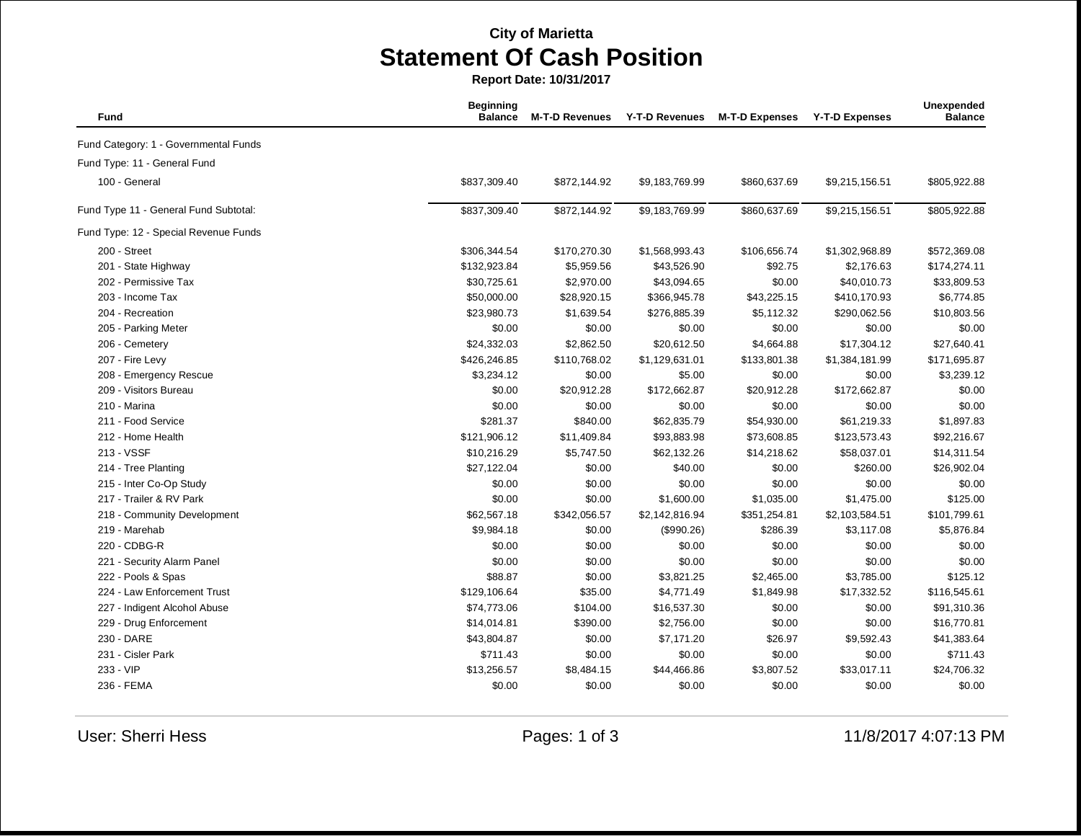## **City of Marietta Statement Of Cash Position**

**Report Date: 10/31/2017**

| Fund                                  | <b>Beginning</b><br><b>Balance</b> | <b>M-T-D Revenues</b> | <b>Y-T-D Revenues</b> | <b>M-T-D Expenses</b> | <b>Y-T-D Expenses</b> | Unexpended<br><b>Balance</b> |
|---------------------------------------|------------------------------------|-----------------------|-----------------------|-----------------------|-----------------------|------------------------------|
| Fund Category: 1 - Governmental Funds |                                    |                       |                       |                       |                       |                              |
| Fund Type: 11 - General Fund          |                                    |                       |                       |                       |                       |                              |
| 100 - General                         | \$837,309.40                       | \$872,144.92          | \$9,183,769.99        | \$860,637.69          | \$9,215,156.51        | \$805,922.88                 |
| Fund Type 11 - General Fund Subtotal: | \$837,309.40                       | \$872,144.92          | \$9,183,769.99        | \$860,637.69          | \$9,215,156.51        | \$805,922.88                 |
| Fund Type: 12 - Special Revenue Funds |                                    |                       |                       |                       |                       |                              |
| 200 - Street                          | \$306,344.54                       | \$170,270.30          | \$1,568,993.43        | \$106,656.74          | \$1,302,968.89        | \$572,369.08                 |
| 201 - State Highway                   | \$132,923.84                       | \$5,959.56            | \$43,526.90           | \$92.75               | \$2,176.63            | \$174,274.11                 |
| 202 - Permissive Tax                  | \$30,725.61                        | \$2,970.00            | \$43,094.65           | \$0.00                | \$40,010.73           | \$33,809.53                  |
| 203 - Income Tax                      | \$50,000.00                        | \$28,920.15           | \$366,945.78          | \$43,225.15           | \$410,170.93          | \$6,774.85                   |
| 204 - Recreation                      | \$23,980.73                        | \$1,639.54            | \$276,885.39          | \$5,112.32            | \$290,062.56          | \$10,803.56                  |
| 205 - Parking Meter                   | \$0.00                             | \$0.00                | \$0.00                | \$0.00                | \$0.00                | \$0.00                       |
| 206 - Cemetery                        | \$24,332.03                        | \$2,862.50            | \$20,612.50           | \$4,664.88            | \$17,304.12           | \$27,640.41                  |
| 207 - Fire Levy                       | \$426,246.85                       | \$110,768.02          | \$1,129,631.01        | \$133,801.38          | \$1,384,181.99        | \$171,695.87                 |
| 208 - Emergency Rescue                | \$3,234.12                         | \$0.00                | \$5.00                | \$0.00                | \$0.00                | \$3,239.12                   |
| 209 - Visitors Bureau                 | \$0.00                             | \$20,912.28           | \$172,662.87          | \$20,912.28           | \$172,662.87          | \$0.00                       |
| 210 - Marina                          | \$0.00                             | \$0.00                | \$0.00                | \$0.00                | \$0.00                | \$0.00                       |
| 211 - Food Service                    | \$281.37                           | \$840.00              | \$62,835.79           | \$54,930.00           | \$61,219.33           | \$1,897.83                   |
| 212 - Home Health                     | \$121,906.12                       | \$11,409.84           | \$93,883.98           | \$73,608.85           | \$123,573.43          | \$92,216.67                  |
| 213 - VSSF                            | \$10,216.29                        | \$5,747.50            | \$62,132.26           | \$14,218.62           | \$58,037.01           | \$14,311.54                  |
| 214 - Tree Planting                   | \$27,122.04                        | \$0.00                | \$40.00               | \$0.00                | \$260.00              | \$26,902.04                  |
| 215 - Inter Co-Op Study               | \$0.00                             | \$0.00                | \$0.00                | \$0.00                | \$0.00                | \$0.00                       |
| 217 - Trailer & RV Park               | \$0.00                             | \$0.00                | \$1,600.00            | \$1,035.00            | \$1,475.00            | \$125.00                     |
| 218 - Community Development           | \$62,567.18                        | \$342,056.57          | \$2,142,816.94        | \$351,254.81          | \$2,103,584.51        | \$101,799.61                 |
| 219 - Marehab                         | \$9,984.18                         | \$0.00                | (\$990.26)            | \$286.39              | \$3,117.08            | \$5,876.84                   |
| 220 - CDBG-R                          | \$0.00                             | \$0.00                | \$0.00                | \$0.00                | \$0.00                | \$0.00                       |
| 221 - Security Alarm Panel            | \$0.00                             | \$0.00                | \$0.00                | \$0.00                | \$0.00                | \$0.00                       |
| 222 - Pools & Spas                    | \$88.87                            | \$0.00                | \$3,821.25            | \$2,465.00            | \$3,785.00            | \$125.12                     |
| 224 - Law Enforcement Trust           | \$129,106.64                       | \$35.00               | \$4,771.49            | \$1,849.98            | \$17,332.52           | \$116,545.61                 |
| 227 - Indigent Alcohol Abuse          | \$74,773.06                        | \$104.00              | \$16,537.30           | \$0.00                | \$0.00                | \$91,310.36                  |
| 229 - Drug Enforcement                | \$14,014.81                        | \$390.00              | \$2,756.00            | \$0.00                | \$0.00                | \$16,770.81                  |
| 230 - DARE                            | \$43,804.87                        | \$0.00                | \$7,171.20            | \$26.97               | \$9,592.43            | \$41,383.64                  |
| 231 - Cisler Park                     | \$711.43                           | \$0.00                | \$0.00                | \$0.00                | \$0.00                | \$711.43                     |
| 233 - VIP                             | \$13,256.57                        | \$8,484.15            | \$44,466.86           | \$3,807.52            | \$33,017.11           | \$24,706.32                  |
| 236 - FEMA                            | \$0.00                             | \$0.00                | \$0.00                | \$0.00                | \$0.00                | \$0.00                       |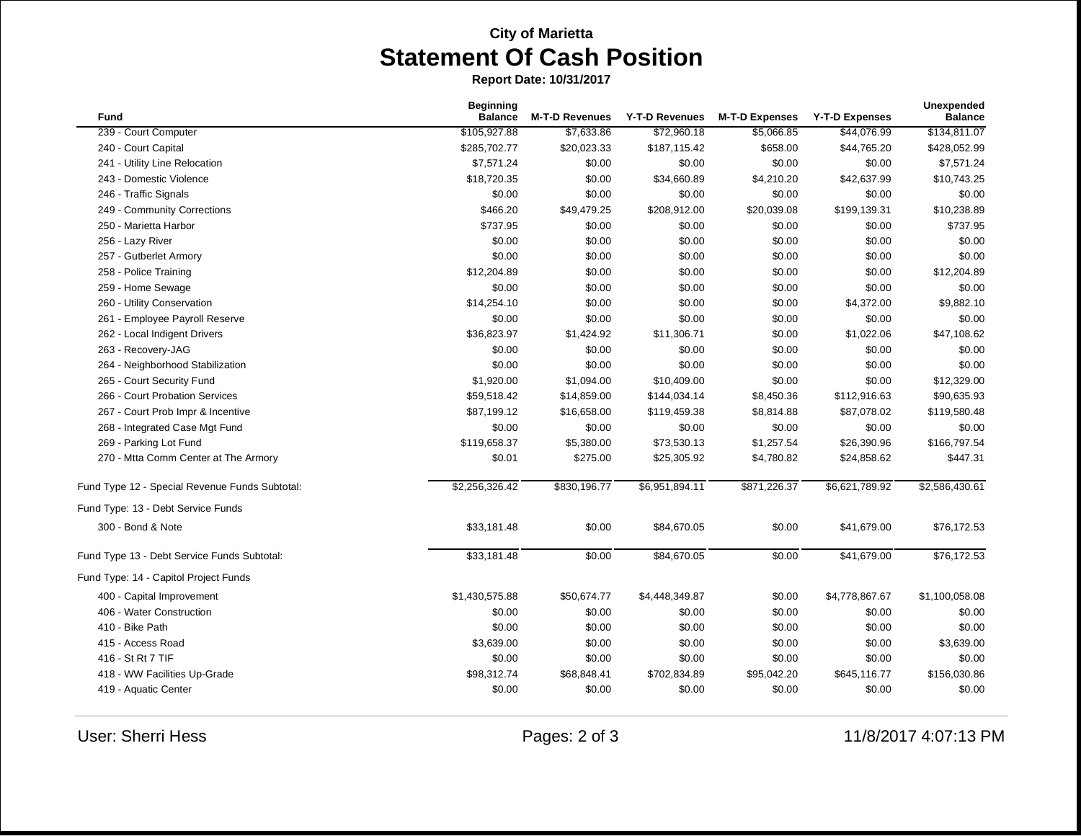## **City of Marietta Statement Of Cash Position**

**Report Date: 10/31/2017**

| Fund                                           | <b>Beginning</b><br><b>Balance</b> | <b>M-T-D Revenues</b> | <b>Y-T-D Revenues</b> | <b>M-T-D Expenses</b> | <b>Y-T-D Expenses</b> | Unexpended<br><b>Balance</b> |
|------------------------------------------------|------------------------------------|-----------------------|-----------------------|-----------------------|-----------------------|------------------------------|
| 239 - Court Computer                           | \$105,927.88                       | \$7,633.86            | \$72,960.18           | \$5,066.85            | \$44,076.99           | \$134,811.07                 |
| 240 - Court Capital                            | \$285,702.77                       | \$20,023.33           | \$187,115.42          | \$658.00              | \$44,765.20           | \$428,052.99                 |
| 241 - Utility Line Relocation                  | \$7,571.24                         | \$0.00                | \$0.00                | \$0.00                | \$0.00                | \$7,571.24                   |
| 243 - Domestic Violence                        | \$18,720.35                        | \$0.00                | \$34,660.89           | \$4,210.20            | \$42,637.99           | \$10,743.25                  |
| 246 - Traffic Signals                          | \$0.00                             | \$0.00                | \$0.00                | \$0.00                | \$0.00                | \$0.00                       |
| 249 - Community Corrections                    | \$466.20                           | \$49,479.25           | \$208,912.00          | \$20,039.08           | \$199,139.31          | \$10,238.89                  |
| 250 - Marietta Harbor                          | \$737.95                           | \$0.00                | \$0.00                | \$0.00                | \$0.00                | \$737.95                     |
| 256 - Lazy River                               | \$0.00                             | \$0.00                | \$0.00                | \$0.00                | \$0.00                | \$0.00                       |
| 257 - Gutberlet Armory                         | \$0.00                             | \$0.00                | \$0.00                | \$0.00                | \$0.00                | \$0.00                       |
| 258 - Police Training                          | \$12,204.89                        | \$0.00                | \$0.00                | \$0.00                | \$0.00                | \$12,204.89                  |
| 259 - Home Sewage                              | \$0.00                             | \$0.00                | \$0.00                | \$0.00                | \$0.00                | \$0.00                       |
| 260 - Utility Conservation                     | \$14,254.10                        | \$0.00                | \$0.00                | \$0.00                | \$4,372.00            | \$9,882.10                   |
| 261 - Employee Payroll Reserve                 | \$0.00                             | \$0.00                | \$0.00                | \$0.00                | \$0.00                | \$0.00                       |
| 262 - Local Indigent Drivers                   | \$36,823.97                        | \$1,424.92            | \$11,306.71           | \$0.00                | \$1,022.06            | \$47,108.62                  |
| 263 - Recovery-JAG                             | \$0.00                             | \$0.00                | \$0.00                | \$0.00                | \$0.00                | \$0.00                       |
| 264 - Neighborhood Stabilization               | \$0.00                             | \$0.00                | \$0.00                | \$0.00                | \$0.00                | \$0.00                       |
| 265 - Court Security Fund                      | \$1,920.00                         | \$1,094.00            | \$10,409.00           | \$0.00                | \$0.00                | \$12,329.00                  |
| 266 - Court Probation Services                 | \$59,518.42                        | \$14,859.00           | \$144,034.14          | \$8,450.36            | \$112,916.63          | \$90,635.93                  |
| 267 - Court Prob Impr & Incentive              | \$87,199.12                        | \$16,658.00           | \$119,459.38          | \$8,814.88            | \$87,078.02           | \$119,580.48                 |
| 268 - Integrated Case Mgt Fund                 | \$0.00                             | \$0.00                | \$0.00                | \$0.00                | \$0.00                | \$0.00                       |
| 269 - Parking Lot Fund                         | \$119,658.37                       | \$5,380.00            | \$73,530.13           | \$1,257.54            | \$26,390.96           | \$166,797.54                 |
| 270 - Mtta Comm Center at The Armory           | \$0.01                             | \$275.00              | \$25,305.92           | \$4,780.82            | \$24,858.62           | \$447.31                     |
| Fund Type 12 - Special Revenue Funds Subtotal: | \$2,256,326.42                     | \$830,196.77          | \$6,951,894.11        | \$871,226.37          | \$6,621,789.92        | \$2,586,430.61               |
| Fund Type: 13 - Debt Service Funds             |                                    |                       |                       |                       |                       |                              |
| 300 - Bond & Note                              | \$33,181.48                        | \$0.00                | \$84,670.05           | \$0.00                | \$41,679.00           | \$76,172.53                  |
| Fund Type 13 - Debt Service Funds Subtotal:    | \$33,181.48                        | \$0.00                | \$84,670.05           | \$0.00                | \$41,679.00           | \$76,172.53                  |
| Fund Type: 14 - Capitol Project Funds          |                                    |                       |                       |                       |                       |                              |
| 400 - Capital Improvement                      | \$1,430,575.88                     | \$50,674.77           | \$4,448,349.87        | \$0.00                | \$4,778,867.67        | \$1,100,058.08               |
| 406 - Water Construction                       | \$0.00                             | \$0.00                | \$0.00                | \$0.00                | \$0.00                | \$0.00                       |
| 410 - Bike Path                                | \$0.00                             | \$0.00                | \$0.00                | \$0.00                | \$0.00                | \$0.00                       |
| 415 - Access Road                              | \$3,639.00                         | \$0.00                | \$0.00                | \$0.00                | \$0.00                | \$3,639.00                   |
| 416 - St Rt 7 TIF                              | \$0.00                             | \$0.00                | \$0.00                | \$0.00                | \$0.00                | \$0.00                       |
| 418 - WW Facilities Up-Grade                   | \$98,312.74                        | \$68,848.41           | \$702,834.89          | \$95,042.20           | \$645,116.77          | \$156,030.86                 |
| 419 - Aquatic Center                           | \$0.00                             | \$0.00                | \$0.00                | \$0.00                | \$0.00                | \$0.00                       |